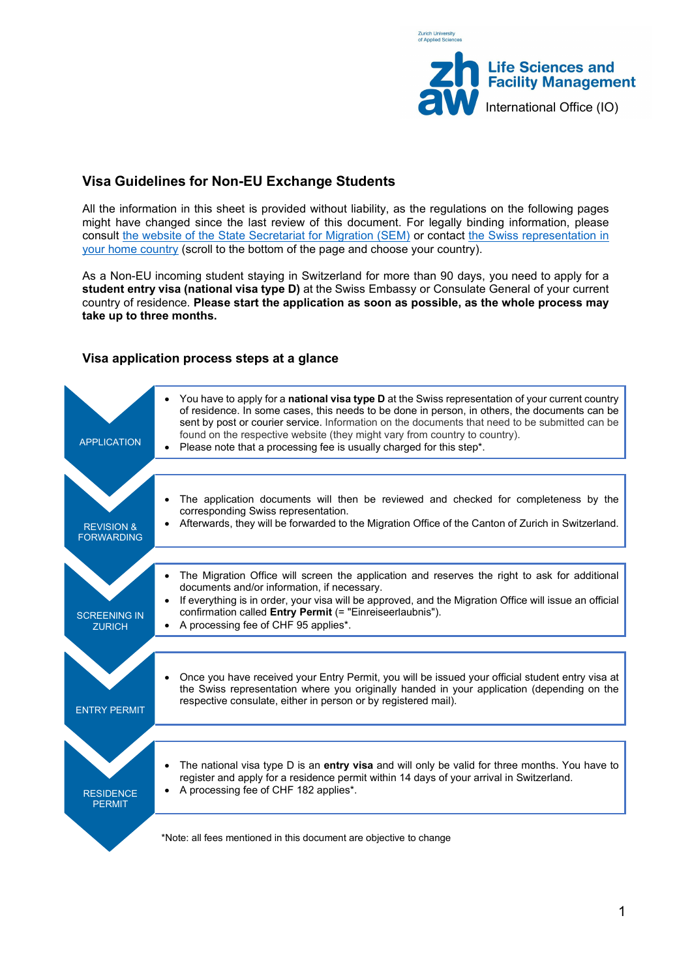

# **Visa Guidelines for Non-EU Exchange Students**

All the information in this sheet is provided without liability, as the regulations on the following pages might have changed since the last review of this document. For legally binding information, please consult [the website of the State Secretariat for Migration \(SEM\)](https://www.sem.admin.ch/sem/en/home.html) or contact [the Swiss representation](https://www.eda.admin.ch/eda/en/fdfa.html) in [your home country](https://www.eda.admin.ch/eda/en/fdfa.html) (scroll to the bottom of the page and choose your country).

As a Non-EU incoming student staying in Switzerland for more than 90 days, you need to apply for a **student entry visa (national visa type D)** at the Swiss Embassy or Consulate General of your current country of residence. **Please start the application as soon as possible, as the whole process may take up to three months.**

# **Visa application process steps at a glance**

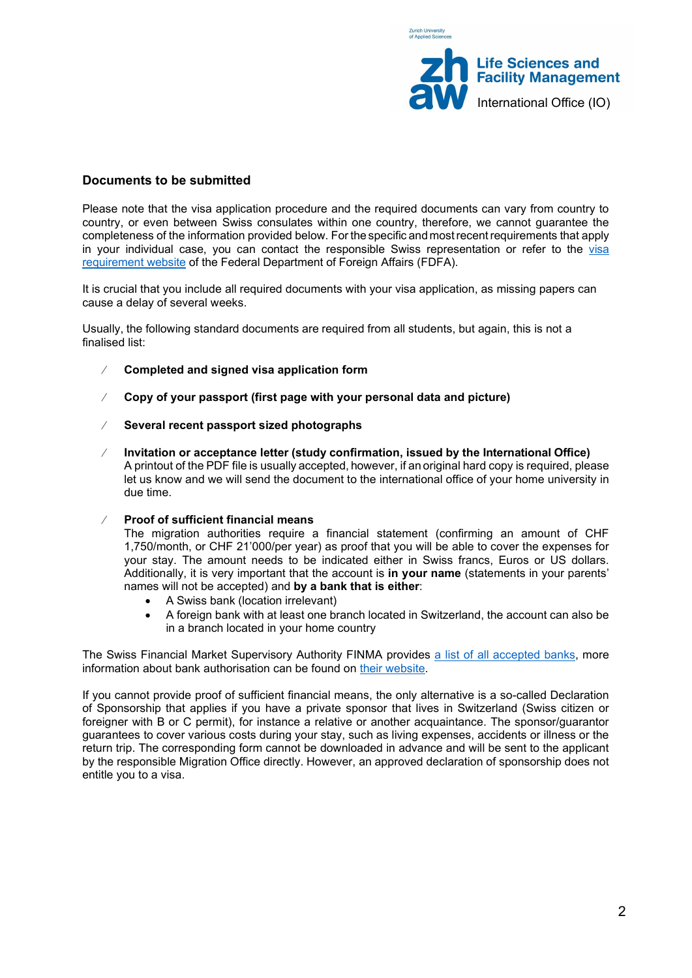

### **Documents to be submitted**

Please note that the visa application procedure and the required documents can vary from country to country, or even between Swiss consulates within one country, therefore, we cannot guarantee the completeness of the information provided below. For the specific and mostrecentrequirements that apply in your individual case, you can contact the responsible Swiss representation or refer to the visa [requirement website](https://www.eda.admin.ch/eda/en/home/entry-switzerland-residence/visa-requirements-application-form.html) of the Federal Department of Foreign Affairs (FDFA).

It is crucial that you include all required documents with your visa application, as missing papers can cause a delay of several weeks.

Usually, the following standard documents are required from all students, but again, this is not a finalised list:

- ⁄ **Completed and signed visa application form**
- ⁄ **Copy of your passport (first page with your personal data and picture)**
- ⁄ **Several recent passport sized photographs**
- ⁄ **Invitation or acceptance letter (study confirmation, issued by the International Office)**  A printout of the PDF file is usually accepted, however, if an original hard copy is required, please let us know and we will send the document to the international office of your home university in due time.
- ⁄ **Proof of sufficient financial means**

The migration authorities require a financial statement (confirming an amount of CHF 1,750/month, or CHF 21'000/per year) as proof that you will be able to cover the expenses for your stay. The amount needs to be indicated either in Swiss francs, Euros or US dollars. Additionally, it is very important that the account is **in your name** (statements in your parents' names will not be accepted) and **by a bank that is either**:

- A Swiss bank (location irrelevant)
- A foreign bank with at least one branch located in Switzerland, the account can also be in a branch located in your home country

The Swiss Financial Market Supervisory Authority FINMA provides a list of all [accepted banks,](https://www.finma.ch/en/%7E/media/finma/dokumente/bewilligungstraeger/pdf/beh.pdf?la=en) more information about bank authorisation can be found on [their website.](https://www.finma.ch/en/authorisation/banks-and-securities-firms/getting-licensed/representative-offices-of-foreign-banks/)

If you cannot provide proof of sufficient financial means, the only alternative is a so-called Declaration of Sponsorship that applies if you have a private sponsor that lives in Switzerland (Swiss citizen or foreigner with B or C permit), for instance a relative or another acquaintance. The sponsor/guarantor guarantees to cover various costs during your stay, such as living expenses, accidents or illness or the return trip. The corresponding form cannot be downloaded in advance and will be sent to the applicant by the responsible Migration Office directly. However, an approved declaration of sponsorship does not entitle you to a visa.